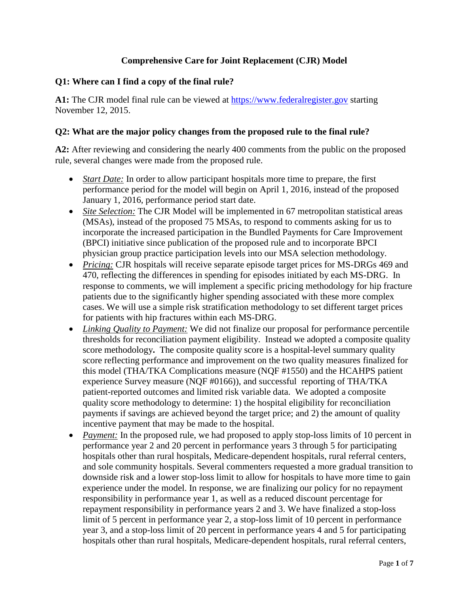## **Comprehensive Care for Joint Replacement (CJR) Model**

### **Q1: Where can I find a copy of the final rule?**

**A1:** The CJR model final rule can be viewed at [https://www.federalregister.gov](https://www.federalregister.gov/) starting November 12, 2015.

#### **Q2: What are the major policy changes from the proposed rule to the final rule?**

**A2:** After reviewing and considering the nearly 400 comments from the public on the proposed rule, several changes were made from the proposed rule.

- *Start Date:* In order to allow participant hospitals more time to prepare, the first performance period for the model will begin on April 1, 2016, instead of the proposed January 1, 2016, performance period start date.
- *Site Selection:* The CJR Model will be implemented in 67 metropolitan statistical areas (MSAs), instead of the proposed 75 MSAs, to respond to comments asking for us to incorporate the increased participation in the Bundled Payments for Care Improvement (BPCI) initiative since publication of the proposed rule and to incorporate BPCI physician group practice participation levels into our MSA selection methodology.
- *Pricing:* CJR hospitals will receive separate episode target prices for MS-DRGs 469 and 470, reflecting the differences in spending for episodes initiated by each MS-DRG. In response to comments, we will implement a specific pricing methodology for hip fracture patients due to the significantly higher spending associated with these more complex cases. We will use a simple risk stratification methodology to set different target prices for patients with hip fractures within each MS-DRG.
- *Linking Quality to Payment:* We did not finalize our proposal for performance percentile thresholds for reconciliation payment eligibility. Instead we adopted a composite quality score methodology**.** The composite quality score is a hospital-level summary quality score reflecting performance and improvement on the two quality measures finalized for this model (THA/TKA Complications measure (NQF #1550) and the HCAHPS patient experience Survey measure (NQF #0166)), and successful reporting of THA/TKA patient-reported outcomes and limited risk variable data.We adopted a composite quality score methodology to determine: 1) the hospital eligibility for reconciliation payments if savings are achieved beyond the target price; and 2) the amount of quality incentive payment that may be made to the hospital.
- *Payment:* In the proposed rule, we had proposed to apply stop-loss limits of 10 percent in performance year 2 and 20 percent in performance years 3 through 5 for participating hospitals other than rural hospitals, Medicare-dependent hospitals, rural referral centers, and sole community hospitals. Several commenters requested a more gradual transition to downside risk and a lower stop-loss limit to allow for hospitals to have more time to gain experience under the model. In response, we are finalizing our policy for no repayment responsibility in performance year 1, as well as a reduced discount percentage for repayment responsibility in performance years 2 and 3. We have finalized a stop-loss limit of 5 percent in performance year 2, a stop-loss limit of 10 percent in performance year 3, and a stop-loss limit of 20 percent in performance years 4 and 5 for participating hospitals other than rural hospitals, Medicare-dependent hospitals, rural referral centers,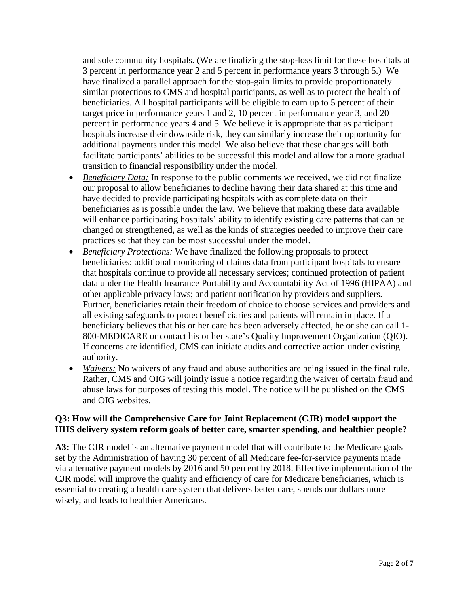and sole community hospitals. (We are finalizing the stop-loss limit for these hospitals at 3 percent in performance year 2 and 5 percent in performance years 3 through 5.) We have finalized a parallel approach for the stop-gain limits to provide proportionately similar protections to CMS and hospital participants, as well as to protect the health of beneficiaries. All hospital participants will be eligible to earn up to 5 percent of their target price in performance years 1 and 2, 10 percent in performance year 3, and 20 percent in performance years 4 and 5. We believe it is appropriate that as participant hospitals increase their downside risk, they can similarly increase their opportunity for additional payments under this model. We also believe that these changes will both facilitate participants' abilities to be successful this model and allow for a more gradual transition to financial responsibility under the model.

- *Beneficiary Data:* In response to the public comments we received, we did not finalize our proposal to allow beneficiaries to decline having their data shared at this time and have decided to provide participating hospitals with as complete data on their beneficiaries as is possible under the law. We believe that making these data available will enhance participating hospitals' ability to identify existing care patterns that can be changed or strengthened, as well as the kinds of strategies needed to improve their care practices so that they can be most successful under the model.
- *Beneficiary Protections:* We have finalized the following proposals to protect beneficiaries: additional monitoring of claims data from participant hospitals to ensure that hospitals continue to provide all necessary services; continued protection of patient data under the Health Insurance Portability and Accountability Act of 1996 (HIPAA) and other applicable privacy laws; and patient notification by providers and suppliers. Further, beneficiaries retain their freedom of choice to choose services and providers and all existing safeguards to protect beneficiaries and patients will remain in place. If a beneficiary believes that his or her care has been adversely affected, he or she can call 1- 800-MEDICARE or contact his or her state's Quality Improvement Organization (QIO). If concerns are identified, CMS can initiate audits and corrective action under existing authority.
- *Waivers:* No waivers of any fraud and abuse authorities are being issued in the final rule. Rather, CMS and OIG will jointly issue a notice regarding the waiver of certain fraud and abuse laws for purposes of testing this model. The notice will be published on the CMS and OIG websites.

## **Q3: How will the Comprehensive Care for Joint Replacement (CJR) model support the HHS delivery system reform goals of better care, smarter spending, and healthier people?**

**A3:** The CJR model is an alternative payment model that will contribute to the Medicare goals set by the Administration of having 30 percent of all Medicare fee-for-service payments made via alternative payment models by 2016 and 50 percent by 2018. Effective implementation of the CJR model will improve the quality and efficiency of care for Medicare beneficiaries, which is essential to creating a health care system that delivers better care, spends our dollars more wisely, and leads to healthier Americans.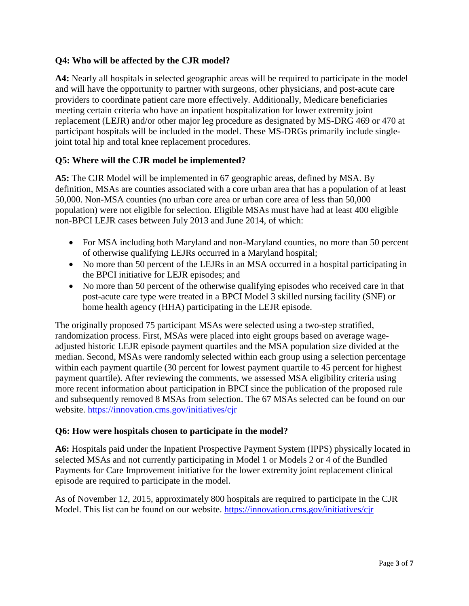## **Q4: Who will be affected by the CJR model?**

**A4:** Nearly all hospitals in selected geographic areas will be required to participate in the model and will have the opportunity to partner with surgeons, other physicians, and post-acute care providers to coordinate patient care more effectively. Additionally, Medicare beneficiaries meeting certain criteria who have an inpatient hospitalization for lower extremity joint replacement (LEJR) and/or other major leg procedure as designated by MS-DRG 469 or 470 at participant hospitals will be included in the model. These MS-DRGs primarily include singlejoint total hip and total knee replacement procedures.

## **Q5: Where will the CJR model be implemented?**

**A5:** The CJR Model will be implemented in 67 geographic areas, defined by MSA. By definition, MSAs are counties associated with a core urban area that has a population of at least 50,000. Non-MSA counties (no urban core area or urban core area of less than 50,000 population) were not eligible for selection. Eligible MSAs must have had at least 400 eligible non-BPCI LEJR cases between July 2013 and June 2014, of which:

- For MSA including both Maryland and non-Maryland counties, no more than 50 percent of otherwise qualifying LEJRs occurred in a Maryland hospital;
- No more than 50 percent of the LEJRs in an MSA occurred in a hospital participating in the BPCI initiative for LEJR episodes; and
- No more than 50 percent of the otherwise qualifying episodes who received care in that post-acute care type were treated in a BPCI Model 3 skilled nursing facility (SNF) or home health agency (HHA) participating in the LEJR episode.

The originally proposed 75 participant MSAs were selected using a two-step stratified, randomization process. First, MSAs were placed into eight groups based on average wageadjusted historic LEJR episode payment quartiles and the MSA population size divided at the median. Second, MSAs were randomly selected within each group using a selection percentage within each payment quartile (30 percent for lowest payment quartile to 45 percent for highest payment quartile). After reviewing the comments, we assessed MSA eligibility criteria using more recent information about participation in BPCI since the publication of the proposed rule and subsequently removed 8 MSAs from selection. The 67 MSAs selected can be found on our website.<https://innovation.cms.gov/initiatives/cjr>

## **Q6: How were hospitals chosen to participate in the model?**

**A6:** Hospitals paid under the Inpatient Prospective Payment System (IPPS) physically located in selected MSAs and not currently participating in Model 1 or Models 2 or 4 of the Bundled Payments for Care Improvement initiative for the lower extremity joint replacement clinical episode are required to participate in the model.

As of November 12, 2015, approximately 800 hospitals are required to participate in the CJR Model. This list can be found on our website.<https://innovation.cms.gov/initiatives/cjr>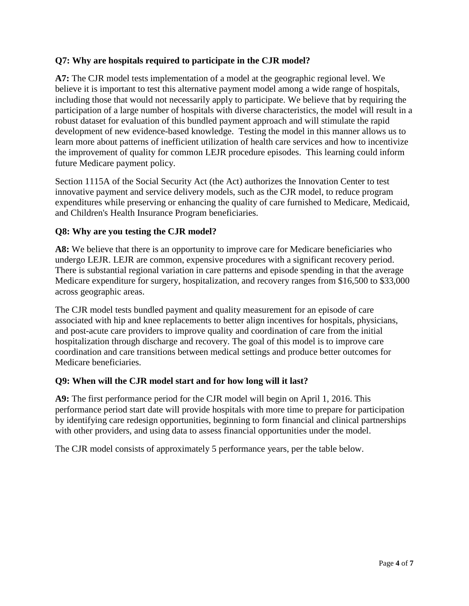## **Q7: Why are hospitals required to participate in the CJR model?**

**A7:** The CJR model tests implementation of a model at the geographic regional level. We believe it is important to test this alternative payment model among a wide range of hospitals, including those that would not necessarily apply to participate. We believe that by requiring the participation of a large number of hospitals with diverse characteristics, the model will result in a robust dataset for evaluation of this bundled payment approach and will stimulate the rapid development of new evidence-based knowledge. Testing the model in this manner allows us to learn more about patterns of inefficient utilization of health care services and how to incentivize the improvement of quality for common LEJR procedure episodes. This learning could inform future Medicare payment policy.

Section 1115A of the Social Security Act (the Act) authorizes the Innovation Center to test innovative payment and service delivery models, such as the CJR model, to reduce program expenditures while preserving or enhancing the quality of care furnished to Medicare, Medicaid, and Children's Health Insurance Program beneficiaries.

### **Q8: Why are you testing the CJR model?**

**A8:** We believe that there is an opportunity to improve care for Medicare beneficiaries who undergo LEJR. LEJR are common, expensive procedures with a significant recovery period. There is substantial regional variation in care patterns and episode spending in that the average Medicare expenditure for surgery, hospitalization, and recovery ranges from \$16,500 to \$33,000 across geographic areas.

The CJR model tests bundled payment and quality measurement for an episode of care associated with hip and knee replacements to better align incentives for hospitals, physicians, and post-acute care providers to improve quality and coordination of care from the initial hospitalization through discharge and recovery. The goal of this model is to improve care coordination and care transitions between medical settings and produce better outcomes for Medicare beneficiaries.

#### **Q9: When will the CJR model start and for how long will it last?**

**A9:** The first performance period for the CJR model will begin on April 1, 2016. This performance period start date will provide hospitals with more time to prepare for participation by identifying care redesign opportunities, beginning to form financial and clinical partnerships with other providers, and using data to assess financial opportunities under the model.

The CJR model consists of approximately 5 performance years, per the table below.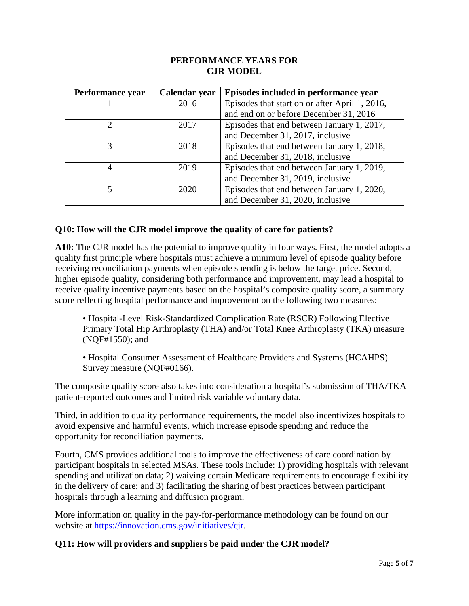#### **PERFORMANCE YEARS FOR CJR MODEL**

| Performance year | Calendar year | Episodes included in performance year          |
|------------------|---------------|------------------------------------------------|
|                  | 2016          | Episodes that start on or after April 1, 2016, |
|                  |               | and end on or before December 31, 2016         |
|                  | 2017          | Episodes that end between January 1, 2017,     |
|                  |               | and December 31, 2017, inclusive               |
|                  | 2018          | Episodes that end between January 1, 2018,     |
|                  |               | and December 31, 2018, inclusive               |
|                  | 2019          | Episodes that end between January 1, 2019,     |
|                  |               | and December 31, 2019, inclusive               |
|                  | 2020          | Episodes that end between January 1, 2020,     |
|                  |               | and December 31, 2020, inclusive               |

## **Q10: How will the CJR model improve the quality of care for patients?**

**A10:** The CJR model has the potential to improve quality in four ways. First, the model adopts a quality first principle where hospitals must achieve a minimum level of episode quality before receiving reconciliation payments when episode spending is below the target price. Second, higher episode quality, considering both performance and improvement, may lead a hospital to receive quality incentive payments based on the hospital's composite quality score, a summary score reflecting hospital performance and improvement on the following two measures:

• Hospital-Level Risk-Standardized Complication Rate (RSCR) Following Elective Primary Total Hip Arthroplasty (THA) and/or Total Knee Arthroplasty (TKA) measure (NQF#1550); and

• Hospital Consumer Assessment of Healthcare Providers and Systems (HCAHPS) Survey measure (NQF#0166).

The composite quality score also takes into consideration a hospital's submission of THA/TKA patient-reported outcomes and limited risk variable voluntary data.

Third, in addition to quality performance requirements, the model also incentivizes hospitals to avoid expensive and harmful events, which increase episode spending and reduce the opportunity for reconciliation payments.

Fourth, CMS provides additional tools to improve the effectiveness of care coordination by participant hospitals in selected MSAs. These tools include: 1) providing hospitals with relevant spending and utilization data; 2) waiving certain Medicare requirements to encourage flexibility in the delivery of care; and 3) facilitating the sharing of best practices between participant hospitals through a learning and diffusion program.

More information on quality in the pay-for-performance methodology can be found on our website at [https://innovation.cms.gov/initiatives/cjr.](https://innovation.cms.gov/initiatives/cjr)

#### **Q11: How will providers and suppliers be paid under the CJR model?**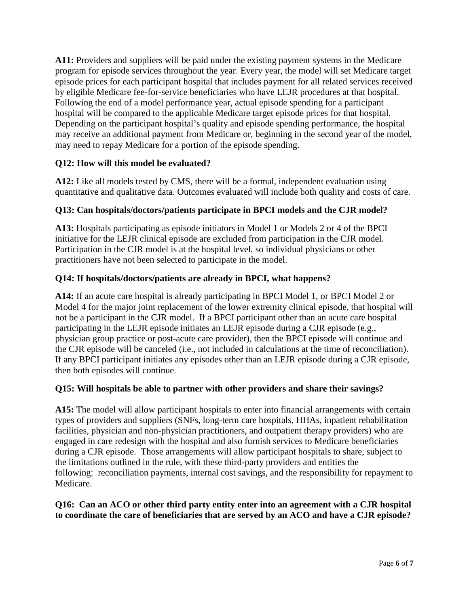**A11:** Providers and suppliers will be paid under the existing payment systems in the Medicare program for episode services throughout the year. Every year, the model will set Medicare target episode prices for each participant hospital that includes payment for all related services received by eligible Medicare fee-for-service beneficiaries who have LEJR procedures at that hospital. Following the end of a model performance year, actual episode spending for a participant hospital will be compared to the applicable Medicare target episode prices for that hospital. Depending on the participant hospital's quality and episode spending performance, the hospital may receive an additional payment from Medicare or, beginning in the second year of the model, may need to repay Medicare for a portion of the episode spending.

# **Q12: How will this model be evaluated?**

**A12:** Like all models tested by CMS, there will be a formal, independent evaluation using quantitative and qualitative data. Outcomes evaluated will include both quality and costs of care.

# **Q13: Can hospitals/doctors/patients participate in BPCI models and the CJR model?**

**A13:** Hospitals participating as episode initiators in Model 1 or Models 2 or 4 of the BPCI initiative for the LEJR clinical episode are excluded from participation in the CJR model. Participation in the CJR model is at the hospital level, so individual physicians or other practitioners have not been selected to participate in the model.

## **Q14: If hospitals/doctors/patients are already in BPCI, what happens?**

**A14:** If an acute care hospital is already participating in BPCI Model 1, or BPCI Model 2 or Model 4 for the major joint replacement of the lower extremity clinical episode, that hospital will not be a participant in the CJR model. If a BPCI participant other than an acute care hospital participating in the LEJR episode initiates an LEJR episode during a CJR episode (e.g., physician group practice or post-acute care provider), then the BPCI episode will continue and the CJR episode will be canceled (i.e., not included in calculations at the time of reconciliation). If any BPCI participant initiates any episodes other than an LEJR episode during a CJR episode, then both episodes will continue.

## **Q15: Will hospitals be able to partner with other providers and share their savings?**

**A15:** The model will allow participant hospitals to enter into financial arrangements with certain types of providers and suppliers (SNFs, long-term care hospitals, HHAs, inpatient rehabilitation facilities, physician and non-physician practitioners, and outpatient therapy providers) who are engaged in care redesign with the hospital and also furnish services to Medicare beneficiaries during a CJR episode. Those arrangements will allow participant hospitals to share, subject to the limitations outlined in the rule, with these third-party providers and entities the following: reconciliation payments, internal cost savings, and the responsibility for repayment to Medicare.

## **Q16: Can an ACO or other third party entity enter into an agreement with a CJR hospital to coordinate the care of beneficiaries that are served by an ACO and have a CJR episode?**